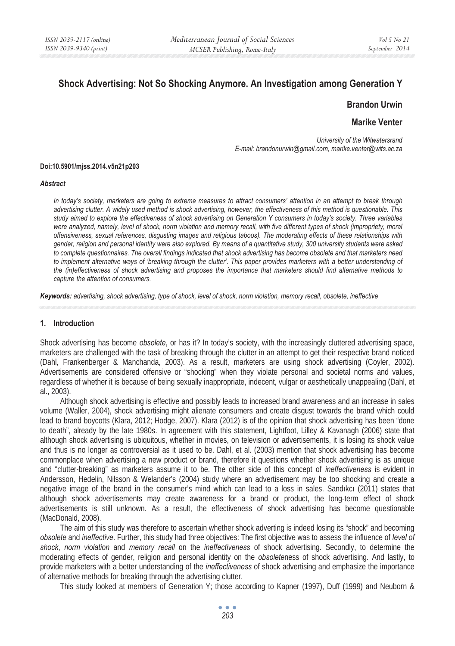# **Shock Advertising: Not So Shocking Anymore. An Investigation among Generation Y**

### **Brandon Urwin**

### **Marike Venter**

*University of the Witwatersrand E-mail: brandonurwin@gmail.com, marike.venter@wits.ac.za* 

#### **Doi:10.5901/mjss.2014.v5n21p203**

#### *Abstract*

*In today's society, marketers are going to extreme measures to attract consumers' attention in an attempt to break through advertising clutter. A widely used method is shock advertising, however, the effectiveness of this method is questionable. This study aimed to explore the effectiveness of shock advertising on Generation Y consumers in today's society. Three variables were analyzed, namely, level of shock, norm violation and memory recall, with five different types of shock (impropriety, moral offensiveness, sexual references, disgusting images and religious taboos). The moderating effects of these relationships with gender, religion and personal identity were also explored. By means of a quantitative study, 300 university students were asked to complete questionnaires. The overall findings indicated that shock advertising has become obsolete and that marketers need*  to implement alternative ways of 'breaking through the clutter'. This paper provides marketers with a better understanding of *the (in)effectiveness of shock advertising and proposes the importance that marketers should find alternative methods to capture the attention of consumers.* 

*Keywords: advertising, shock advertising, type of shock, level of shock, norm violation, memory recall, obsolete, ineffective* 

#### **1. Introduction**

Shock advertising has become *obsolete*, or has it? In today's society, with the increasingly cluttered advertising space, marketers are challenged with the task of breaking through the clutter in an attempt to get their respective brand noticed (Dahl, Frankenberger & Manchanda, 2003). As a result, marketers are using shock advertising (Coyler, 2002). Advertisements are considered offensive or "shocking" when they violate personal and societal norms and values, regardless of whether it is because of being sexually inappropriate, indecent, vulgar or aesthetically unappealing (Dahl, et al., 2003).

Although shock advertising is effective and possibly leads to increased brand awareness and an increase in sales volume (Waller, 2004), shock advertising might alienate consumers and create disgust towards the brand which could lead to brand boycotts (Klara, 2012; Hodge, 2007). Klara (2012) is of the opinion that shock advertising has been "done to death", already by the late 1980s. In agreement with this statement, Lightfoot, Lilley & Kavanagh (2006) state that although shock advertising is ubiquitous, whether in movies, on television or advertisements, it is losing its shock value and thus is no longer as controversial as it used to be. Dahl, et al. (2003) mention that shock advertising has become commonplace when advertising a new product or brand, therefore it questions whether shock advertising is as unique and "clutter-breaking" as marketers assume it to be. The other side of this concept of *ineffectiveness* is evident in Andersson, Hedelin, Nilsson & Welander's (2004) study where an advertisement may be too shocking and create a negative image of the brand in the consumer's mind which can lead to a loss in sales. Sandıkcı (2011) states that although shock advertisements may create awareness for a brand or product, the long-term effect of shock advertisements is still unknown. As a result, the effectiveness of shock advertising has become questionable (MacDonald, 2008).

The aim of this study was therefore to ascertain whether shock adverting is indeed losing its "shock" and becoming *obsolete* and *ineffective*. Further, this study had three objectives: The first objective was to assess the influence of *level of shock*, *norm violation* and *memory recall* on the *ineffectiveness* of shock advertising. Secondly, to determine the moderating effects of gender, religion and personal identity on the *obsolete*ness of shock advertising. And lastly, to provide marketers with a better understanding of the *ineffectiveness* of shock advertising and emphasize the importance of alternative methods for breaking through the advertising clutter.

This study looked at members of Generation Y; those according to Kapner (1997), Duff (1999) and Neuborn &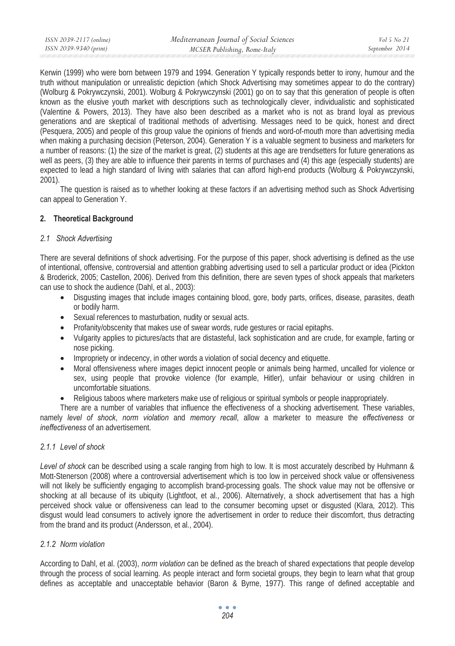| ISSN 2039-2117 (online) | Mediterranean Journal of Social Sciences | Vol 5 No 21    |
|-------------------------|------------------------------------------|----------------|
| ISSN 2039-9340 (print)  | MCSER Publishing, Rome-Italy             | September 2014 |

Kerwin (1999) who were born between 1979 and 1994. Generation Y typically responds better to irony, humour and the truth without manipulation or unrealistic depiction (which Shock Advertising may sometimes appear to do the contrary) (Wolburg & Pokrywczynski, 2001). Wolburg & Pokrywczynski (2001) go on to say that this generation of people is often known as the elusive youth market with descriptions such as technologically clever, individualistic and sophisticated (Valentine & Powers, 2013). They have also been described as a market who is not as brand loyal as previous generations and are skeptical of traditional methods of advertising. Messages need to be quick, honest and direct (Pesquera, 2005) and people of this group value the opinions of friends and word-of-mouth more than advertising media when making a purchasing decision (Peterson, 2004). Generation Y is a valuable segment to business and marketers for a number of reasons: (1) the size of the market is great, (2) students at this age are trendsetters for future generations as well as peers, (3) they are able to influence their parents in terms of purchases and (4) this age (especially students) are expected to lead a high standard of living with salaries that can afford high-end products (Wolburg & Pokrywczynski, 2001).

The question is raised as to whether looking at these factors if an advertising method such as Shock Advertising can appeal to Generation Y.

### **2. Theoretical Background**

### *2.1 Shock Advertising*

There are several definitions of shock advertising. For the purpose of this paper, shock advertising is defined as the use of intentional, offensive, controversial and attention grabbing advertising used to sell a particular product or idea (Pickton & Broderick, 2005; Castellon, 2006). Derived from this definition, there are seven types of shock appeals that marketers can use to shock the audience (Dahl, et al., 2003):

- Disgusting images that include images containing blood, gore, body parts, orifices, disease, parasites, death or bodily harm.
- Sexual references to masturbation, nudity or sexual acts.
- Profanity/obscenity that makes use of swear words, rude gestures or racial epitaphs.
- Vulgarity applies to pictures/acts that are distasteful, lack sophistication and are crude, for example, farting or nose picking.
- Impropriety or indecency, in other words a violation of social decency and etiquette.
- Moral offensiveness where images depict innocent people or animals being harmed, uncalled for violence or sex, using people that provoke violence (for example, Hitler), unfair behaviour or using children in uncomfortable situations.
- Religious taboos where marketers make use of religious or spiritual symbols or people inappropriately.

There are a number of variables that influence the effectiveness of a shocking advertisement. These variables, namely *level of shock*, *norm violation* and *memory recall*, allow a marketer to measure the *effectiveness* or *ineffectiveness* of an advertisement.

### *2.1.1 Level of shock*

*Level of shock* can be described using a scale ranging from high to low. It is most accurately described by Huhmann & Mott-Stenerson (2008) where a controversial advertisement which is too low in perceived shock value or offensiveness will not likely be sufficiently engaging to accomplish brand-processing goals. The shock value may not be offensive or shocking at all because of its ubiquity (Lightfoot, et al., 2006). Alternatively, a shock advertisement that has a high perceived shock value or offensiveness can lead to the consumer becoming upset or disgusted (Klara, 2012). This disgust would lead consumers to actively ignore the advertisement in order to reduce their discomfort, thus detracting from the brand and its product (Andersson, et al., 2004).

### *2.1.2 Norm violation*

According to Dahl, et al. (2003), *norm violation* can be defined as the breach of shared expectations that people develop through the process of social learning. As people interact and form societal groups, they begin to learn what that group defines as acceptable and unacceptable behavior (Baron & Byrne, 1977). This range of defined acceptable and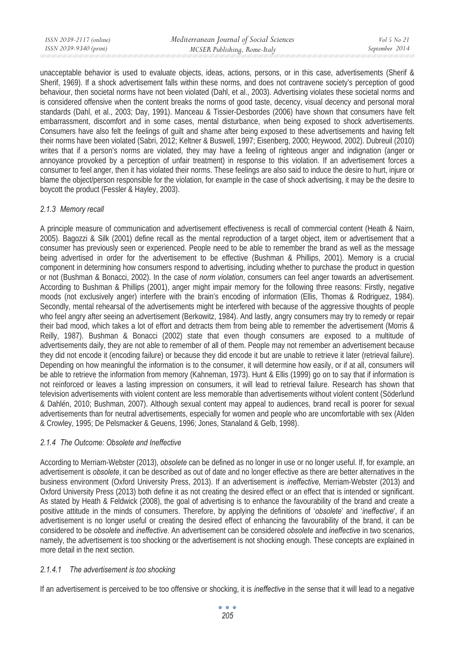| ISSN 2039-2117 (online) | Mediterranean Journal of Social Sciences | Vol 5 No 21    |
|-------------------------|------------------------------------------|----------------|
| ISSN 2039-9340 (print)  | MCSER Publishing, Rome-Italy             | September 2014 |
|                         |                                          |                |

unacceptable behavior is used to evaluate objects, ideas, actions, persons, or in this case, advertisements (Sherif & Sherif, 1969). If a shock advertisement falls within these norms, and does not contravene society's perception of good behaviour, then societal norms have not been violated (Dahl, et al., 2003). Advertising violates these societal norms and is considered offensive when the content breaks the norms of good taste, decency, visual decency and personal moral standards (Dahl, et al., 2003; Day, 1991). Manceau & Tissier-Desbordes (2006) have shown that consumers have felt embarrassment, discomfort and in some cases, mental disturbance, when being exposed to shock advertisements. Consumers have also felt the feelings of guilt and shame after being exposed to these advertisements and having felt their norms have been violated (Sabri, 2012; Keltner & Buswell, 1997; Eisenberg, 2000; Heywood, 2002). Dubreuil (2010) writes that if a person's norms are violated, they may have a feeling of righteous anger and indignation (anger or annoyance provoked by a perception of unfair treatment) in response to this violation. If an advertisement forces a consumer to feel anger, then it has violated their norms. These feelings are also said to induce the desire to hurt, injure or blame the object/person responsible for the violation, for example in the case of shock advertising, it may be the desire to boycott the product (Fessler & Hayley, 2003).

### *2.1.3 Memory recall*

A principle measure of communication and advertisement effectiveness is recall of commercial content (Heath & Nairn, 2005). Bagozzi & Silk (2001) define recall as the mental reproduction of a target object, item or advertisement that a consumer has previously seen or experienced. People need to be able to remember the brand as well as the message being advertised in order for the advertisement to be effective (Bushman & Phillips, 2001). Memory is a crucial component in determining how consumers respond to advertising, including whether to purchase the product in question or not (Bushman & Bonacci, 2002). In the case of *norm violation*, consumers can feel anger towards an advertisement. According to Bushman & Phillips (2001), anger might impair memory for the following three reasons: Firstly, negative moods (not exclusively anger) interfere with the brain's encoding of information (Ellis, Thomas & Rodriguez, 1984). Secondly, mental rehearsal of the advertisements might be interfered with because of the aggressive thoughts of people who feel angry after seeing an advertisement (Berkowitz, 1984). And lastly, angry consumers may try to remedy or repair their bad mood, which takes a lot of effort and detracts them from being able to remember the advertisement (Morris & Reilly, 1987). Bushman & Bonacci (2002) state that even though consumers are exposed to a multitude of advertisements daily, they are not able to remember of all of them. People may not remember an advertisement because they did not encode it (encoding failure) or because they did encode it but are unable to retrieve it later (retrieval failure). Depending on how meaningful the information is to the consumer, it will determine how easily, or if at all, consumers will be able to retrieve the information from memory (Kahneman, 1973). Hunt & Ellis (1999) go on to say that if information is not reinforced or leaves a lasting impression on consumers, it will lead to retrieval failure. Research has shown that television advertisements with violent content are less memorable than advertisements without violent content (Söderlund & Dahlén, 2010; Bushman, 2007). Although sexual content may appeal to audiences, brand recall is poorer for sexual advertisements than for neutral advertisements, especially for women and people who are uncomfortable with sex (Alden & Crowley, 1995; De Pelsmacker & Geuens, 1996; Jones, Stanaland & Gelb, 1998).

### *2.1.4 The Outcome: Obsolete and Ineffective*

According to Merriam-Webster (2013), *obsolete* can be defined as no longer in use or no longer useful. If, for example, an advertisement is *obsolete*, it can be described as out of date and no longer effective as there are better alternatives in the business environment (Oxford University Press, 2013). If an advertisement is *ineffective*, Merriam-Webster (2013) and Oxford University Press (2013) both define it as not creating the desired effect or an effect that is intended or significant. As stated by Heath & Feldwick (2008), the goal of advertising is to enhance the favourability of the brand and create a positive attitude in the minds of consumers. Therefore, by applying the definitions of '*obsolete*' and '*ineffective*', if an advertisement is no longer useful or creating the desired effect of enhancing the favourability of the brand, it can be considered to be *obsolete* and *ineffective*. An advertisement can be considered *obsolete* and *ineffective* in two scenarios, namely, the advertisement is too shocking or the advertisement is not shocking enough. These concepts are explained in more detail in the next section.

# *2.1.4.1 The advertisement is too shocking*

If an advertisement is perceived to be too offensive or shocking, it is *ineffective* in the sense that it will lead to a negative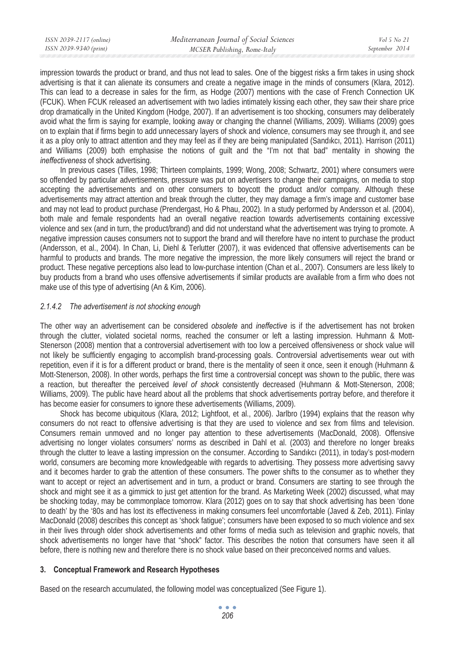| ISSN 2039-2117 (online) | Mediterranean Journal of Social Sciences | Vol 5 No 21    |
|-------------------------|------------------------------------------|----------------|
| ISSN 2039-9340 (print)  | MCSER Publishing, Rome-Italy             | September 2014 |
|                         |                                          |                |

impression towards the product or brand, and thus not lead to sales. One of the biggest risks a firm takes in using shock advertising is that it can alienate its consumers and create a negative image in the minds of consumers (Klara, 2012). This can lead to a decrease in sales for the firm, as Hodge (2007) mentions with the case of French Connection UK (FCUK). When FCUK released an advertisement with two ladies intimately kissing each other, they saw their share price drop dramatically in the United Kingdom (Hodge, 2007). If an advertisement is too shocking, consumers may deliberately avoid what the firm is saying for example, looking away or changing the channel (Williams, 2009). Williams (2009) goes on to explain that if firms begin to add unnecessary layers of shock and violence, consumers may see through it, and see it as a ploy only to attract attention and they may feel as if they are being manipulated (Sandıkcı, 2011). Harrison (2011). and Williams (2009) both emphasise the notions of guilt and the "I'm not that bad" mentality in showing the *ineffectiveness* of shock advertising.

In previous cases (Tilles, 1998; Thirteen complaints, 1999; Wong, 2008; Schwartz, 2001) where consumers were so offended by particular advertisements, pressure was put on advertisers to change their campaigns, on media to stop accepting the advertisements and on other consumers to boycott the product and/or company. Although these advertisements may attract attention and break through the clutter, they may damage a firm's image and customer base and may not lead to product purchase (Prendergast, Ho & Phau, 2002). In a study performed by Andersson et al. (2004), both male and female respondents had an overall negative reaction towards advertisements containing excessive violence and sex (and in turn, the product/brand) and did not understand what the advertisement was trying to promote. A negative impression causes consumers not to support the brand and will therefore have no intent to purchase the product (Andersson, et al., 2004). In Chan, Li, Diehl & Terlutter (2007), it was evidenced that offensive advertisements can be harmful to products and brands. The more negative the impression, the more likely consumers will reject the brand or product. These negative perceptions also lead to low-purchase intention (Chan et al., 2007). Consumers are less likely to buy products from a brand who uses offensive advertisements if similar products are available from a firm who does not make use of this type of advertising (An & Kim, 2006).

### *2.1.4.2 The advertisement is not shocking enough*

The other way an advertisement can be considered *obsolete* and *ineffective* is if the advertisement has not broken through the clutter, violated societal norms, reached the consumer or left a lasting impression. Huhmann & Mott-Stenerson (2008) mention that a controversial advertisement with too low a perceived offensiveness or shock value will not likely be sufficiently engaging to accomplish brand-processing goals. Controversial advertisements wear out with repetition, even if it is for a different product or brand, there is the mentality of seen it once, seen it enough (Huhmann & Mott-Stenerson, 2008). In other words, perhaps the first time a controversial concept was shown to the public, there was a reaction, but thereafter the perceived *level of shock* consistently decreased (Huhmann & Mott-Stenerson, 2008; Williams, 2009). The public have heard about all the problems that shock advertisements portray before, and therefore it has become easier for consumers to ignore these advertisements (Williams, 2009).

Shock has become ubiquitous (Klara, 2012; Lightfoot, et al., 2006). Jarlbro (1994) explains that the reason why consumers do not react to offensive advertising is that they are used to violence and sex from films and television. Consumers remain unmoved and no longer pay attention to these advertisements (MacDonald, 2008). Offensive advertising no longer violates consumers' norms as described in Dahl et al. (2003) and therefore no longer breaks through the clutter to leave a lasting impression on the consumer. According to Sandıkcı (2011), in today's post-modern world, consumers are becoming more knowledgeable with regards to advertising. They possess more advertising savvy and it becomes harder to grab the attention of these consumers. The power shifts to the consumer as to whether they want to accept or reject an advertisement and in turn, a product or brand. Consumers are starting to see through the shock and might see it as a gimmick to just get attention for the brand. As Marketing Week (2002) discussed, what may be shocking today, may be commonplace tomorrow. Klara (2012) goes on to say that shock advertising has been 'done to death' by the '80s and has lost its effectiveness in making consumers feel uncomfortable (Javed & Zeb, 2011). Finlay MacDonald (2008) describes this concept as 'shock fatigue'; consumers have been exposed to so much violence and sex in their lives through older shock advertisements and other forms of media such as television and graphic novels, that shock advertisements no longer have that "shock" factor. This describes the notion that consumers have seen it all before, there is nothing new and therefore there is no shock value based on their preconceived norms and values.

# **3. Conceptual Framework and Research Hypotheses**

Based on the research accumulated, the following model was conceptualized (See Figure 1).

 $\bullet$   $\bullet$   $\bullet$ *206*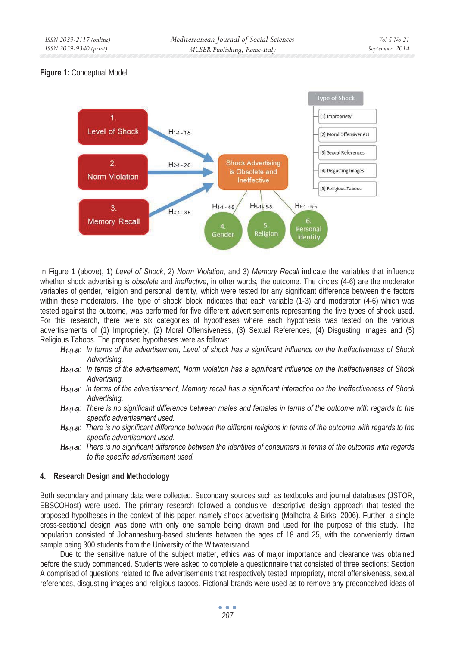# **Figure 1:** Conceptual Model



In Figure 1 (above), 1) *Level of Shock*, 2) *Norm Violation*, and 3) *Memory Recall* indicate the variables that influence whether shock advertising is *obsolete* and *ineffective*, in other words, the outcome. The circles (4-6) are the moderator variables of gender, religion and personal identity, which were tested for any significant difference between the factors within these moderators. The 'type of shock' block indicates that each variable (1-3) and moderator (4-6) which was tested against the outcome, was performed for five different advertisements representing the five types of shock used. For this research, there were six categories of hypotheses where each hypothesis was tested on the various advertisements of (1) Impropriety, (2) Moral Offensiveness, (3) Sexual References, (4) Disgusting Images and (5) Religious Taboos. The proposed hypotheses were as follows:

- *H1-(1-5): In terms of the advertisement, Level of shock has a significant influence on the Ineffectiveness of Shock Advertising.*
- *H2-(1-5): In terms of the advertisement, Norm violation has a significant influence on the Ineffectiveness of Shock Advertising.*
- *H3-(1-5): In terms of the advertisement, Memory recall has a significant interaction on the Ineffectiveness of Shock Advertising.*
- *H4-(1-5): There is no significant difference between males and females in terms of the outcome with regards to the specific advertisement used.*
- *H5-(1-5): There is no significant difference between the different religions in terms of the outcome with regards to the specific advertisement used.*
- *H6-(1-5): There is no significant difference between the identities of consumers in terms of the outcome with regards to the specific advertisement used.*

# **4. Research Design and Methodology**

Both secondary and primary data were collected. Secondary sources such as textbooks and journal databases (JSTOR, EBSCOHost) were used. The primary research followed a conclusive, descriptive design approach that tested the proposed hypotheses in the context of this paper, namely shock advertising (Malhotra & Birks, 2006). Further, a single cross-sectional design was done with only one sample being drawn and used for the purpose of this study. The population consisted of Johannesburg-based students between the ages of 18 and 25, with the conveniently drawn sample being 300 students from the University of the Witwatersrand.

Due to the sensitive nature of the subject matter, ethics was of major importance and clearance was obtained before the study commenced. Students were asked to complete a questionnaire that consisted of three sections: Section A comprised of questions related to five advertisements that respectively tested impropriety, moral offensiveness, sexual references, disgusting images and religious taboos. Fictional brands were used as to remove any preconceived ideas of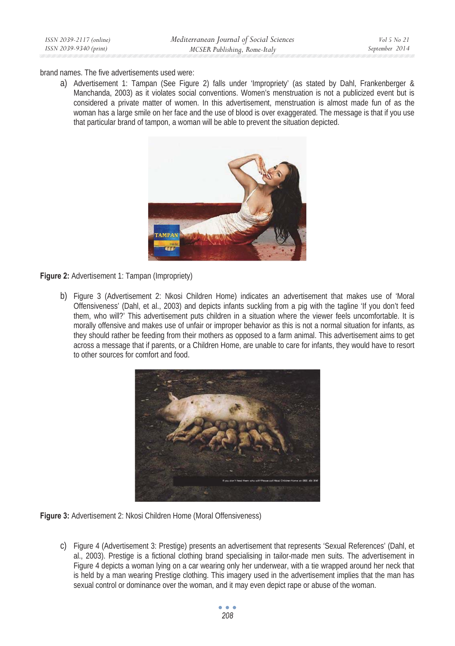brand names. The five advertisements used were:

a) Advertisement 1: Tampan (See Figure 2) falls under 'Impropriety' (as stated by Dahl, Frankenberger & Manchanda, 2003) as it violates social conventions. Women's menstruation is not a publicized event but is considered a private matter of women. In this advertisement, menstruation is almost made fun of as the woman has a large smile on her face and the use of blood is over exaggerated. The message is that if you use that particular brand of tampon, a woman will be able to prevent the situation depicted.



**Figure 2:** Advertisement 1: Tampan (Impropriety)

b) Figure 3 (Advertisement 2: Nkosi Children Home) indicates an advertisement that makes use of 'Moral Offensiveness' (Dahl, et al., 2003) and depicts infants suckling from a pig with the tagline 'If you don't feed them, who will?' This advertisement puts children in a situation where the viewer feels uncomfortable. It is morally offensive and makes use of unfair or improper behavior as this is not a normal situation for infants, as they should rather be feeding from their mothers as opposed to a farm animal. This advertisement aims to get across a message that if parents, or a Children Home, are unable to care for infants, they would have to resort to other sources for comfort and food.





c) Figure 4 (Advertisement 3: Prestige) presents an advertisement that represents 'Sexual References' (Dahl, et al., 2003). Prestige is a fictional clothing brand specialising in tailor-made men suits. The advertisement in Figure 4 depicts a woman lying on a car wearing only her underwear, with a tie wrapped around her neck that is held by a man wearing Prestige clothing. This imagery used in the advertisement implies that the man has sexual control or dominance over the woman, and it may even depict rape or abuse of the woman.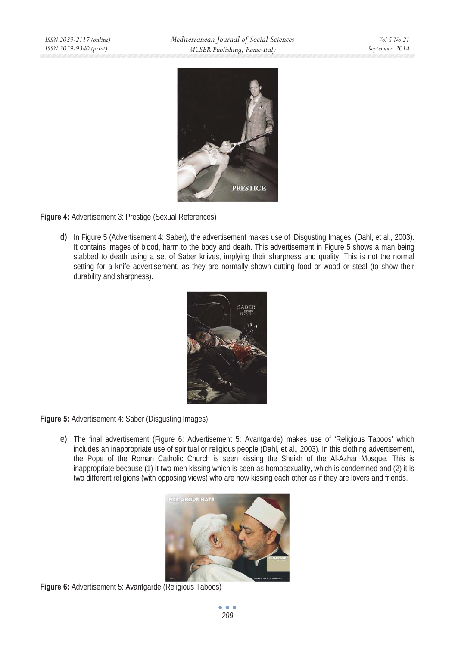

**Figure 4:** Advertisement 3: Prestige (Sexual References)

d) In Figure 5 (Advertisement 4: Saber), the advertisement makes use of 'Disgusting Images' (Dahl, et al., 2003). It contains images of blood, harm to the body and death. This advertisement in Figure 5 shows a man being stabbed to death using a set of Saber knives, implying their sharpness and quality. This is not the normal setting for a knife advertisement, as they are normally shown cutting food or wood or steal (to show their durability and sharpness).



**Figure 5:** Advertisement 4: Saber (Disgusting Images)

e) The final advertisement (Figure 6: Advertisement 5: Avantgarde) makes use of 'Religious Taboos' which includes an inappropriate use of spiritual or religious people (Dahl, et al., 2003). In this clothing advertisement, the Pope of the Roman Catholic Church is seen kissing the Sheikh of the Al-Azhar Mosque. This is inappropriate because (1) it two men kissing which is seen as homosexuality, which is condemned and (2) it is two different religions (with opposing views) who are now kissing each other as if they are lovers and friends.



**Figure 6:** Advertisement 5: Avantgarde (Religious Taboos)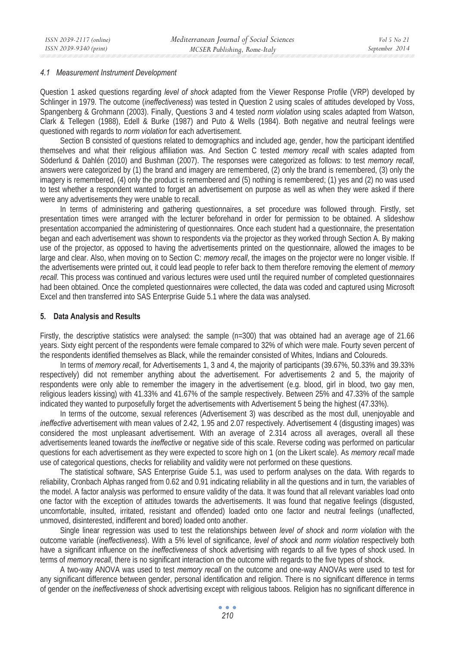#### *4.1 Measurement Instrument Development*

Question 1 asked questions regarding *level of shock* adapted from the Viewer Response Profile (VRP) developed by Schlinger in 1979. The outcome (*ineffectiveness*) was tested in Question 2 using scales of attitudes developed by Voss, Spangenberg & Grohmann (2003). Finally, Questions 3 and 4 tested *norm violation* using scales adapted from Watson, Clark & Tellegen (1988), Edell & Burke (1987) and Puto & Wells (1984). Both negative and neutral feelings were questioned with regards to *norm violation* for each advertisement.

Section B consisted of questions related to demographics and included age, gender, how the participant identified themselves and what their religious affiliation was. And Section C tested *memory recall* with scales adapted from Söderlund & Dahlén (2010) and Bushman (2007). The responses were categorized as follows: to test *memory recall*, answers were categorized by (1) the brand and imagery are remembered, (2) only the brand is remembered, (3) only the imagery is remembered, (4) only the product is remembered and (5) nothing is remembered; (1) yes and (2) no was used to test whether a respondent wanted to forget an advertisement on purpose as well as when they were asked if there were any advertisements they were unable to recall.

In terms of administering and gathering questionnaires, a set procedure was followed through. Firstly, set presentation times were arranged with the lecturer beforehand in order for permission to be obtained. A slideshow presentation accompanied the administering of questionnaires. Once each student had a questionnaire, the presentation began and each advertisement was shown to respondents via the projector as they worked through Section A. By making use of the projector, as opposed to having the advertisements printed on the questionnaire, allowed the images to be large and clear. Also, when moving on to Section C: *memory recall*, the images on the projector were no longer visible. If the advertisements were printed out, it could lead people to refer back to them therefore removing the element of *memory recall*. This process was continued and various lectures were used until the required number of completed questionnaires had been obtained. Once the completed questionnaires were collected, the data was coded and captured using Microsoft Excel and then transferred into SAS Enterprise Guide 5.1 where the data was analysed.

### **5. Data Analysis and Results**

Firstly, the descriptive statistics were analysed: the sample (n=300) that was obtained had an average age of 21.66 years. Sixty eight percent of the respondents were female compared to 32% of which were male. Fourty seven percent of the respondents identified themselves as Black, while the remainder consisted of Whites, Indians and Coloureds.

In terms of *memory recall*, for Advertisements 1, 3 and 4, the majority of participants (39.67%, 50.33% and 39.33% respectively) did not remember anything about the advertisement. For advertisements 2 and 5, the majority of respondents were only able to remember the imagery in the advertisement (e.g. blood, girl in blood, two gay men, religious leaders kissing) with 41.33% and 41.67% of the sample respectively. Between 25% and 47.33% of the sample indicated they wanted to purposefully forget the advertisements with Advertisement 5 being the highest (47.33%).

In terms of the outcome, sexual references (Advertisement 3) was described as the most dull, unenjoyable and *ineffective* advertisement with mean values of 2.42, 1.95 and 2.07 respectively. Advertisement 4 (disgusting images) was considered the most unpleasant advertisement. With an average of 2.314 across all averages, overall all these advertisements leaned towards the *ineffective* or negative side of this scale. Reverse coding was performed on particular questions for each advertisement as they were expected to score high on 1 (on the Likert scale). As *memory recall* made use of categorical questions, checks for reliability and validity were not performed on these questions.

The statistical software, SAS Enterprise Guide 5.1, was used to perform analyses on the data. With regards to reliability, Cronbach Alphas ranged from 0.62 and 0.91 indicating reliability in all the questions and in turn, the variables of the model. A factor analysis was performed to ensure validity of the data. It was found that all relevant variables load onto one factor with the exception of attitudes towards the advertisements. It was found that negative feelings (disgusted, uncomfortable, insulted, irritated, resistant and offended) loaded onto one factor and neutral feelings (unaffected, unmoved, disinterested, indifferent and bored) loaded onto another.

Single linear regression was used to test the relationships between *level of shock* and *norm violation* with the outcome variable (*ineffectiveness*). With a 5% level of significance, *level of shock* and *norm violation* respectively both have a significant influence on the *ineffectiveness* of shock advertising with regards to all five types of shock used. In terms of *memory recall*, there is no significant interaction on the outcome with regards to the five types of shock.

A two-way ANOVA was used to test *memory recall* on the outcome and one-way ANOVAs were used to test for any significant difference between gender, personal identification and religion. There is no significant difference in terms of gender on the *ineffectiveness* of shock advertising except with religious taboos. Religion has no significant difference in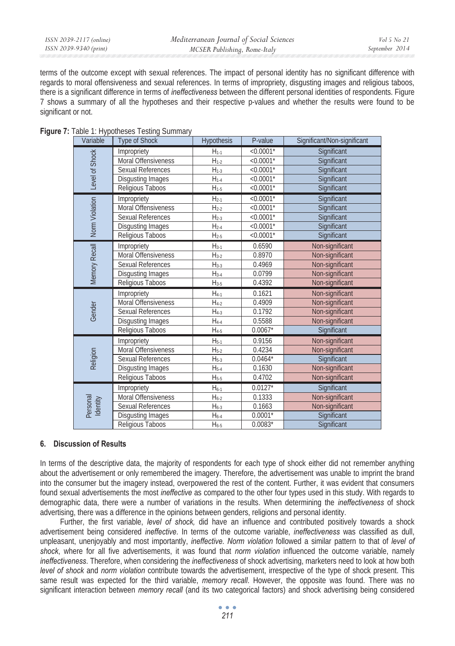terms of the outcome except with sexual references. The impact of personal identity has no significant difference with regards to moral offensiveness and sexual references. In terms of impropriety, disgusting images and religious taboos, there is a significant difference in terms of *ineffectiveness* between the different personal identities of respondents. Figure 7 shows a summary of all the hypotheses and their respective p-values and whether the results were found to be significant or not.

| Variable             | <b>Type of Shock</b>       | Hypothesis                | P-value               | Significant/Non-significant |
|----------------------|----------------------------|---------------------------|-----------------------|-----------------------------|
| Level of Shock       | Impropriety                | $H_{1-1}$                 | $< 0.0001*$           | Significant                 |
|                      | Moral Offensiveness        | $H1-2$                    | $< 0.0001$ *          | Significant                 |
|                      | Sexual References          | $H_{1-3}$                 | $< 0.0001*$           | Significant                 |
|                      | Disgusting Images          | $H_{14}$                  | $< 0.0001$ *          | Significant                 |
|                      | Religious Taboos           | $H_{1-5}$                 | $< 0.0001$ *          | Significant                 |
|                      | Impropriety                | $H_{2-1}$                 | $< 0.0001*$           | Significant                 |
| Norm Violation       | Moral Offensiveness        | $H2-2$                    | $< 0.0001$ *          | Significant                 |
|                      | Sexual References          | $H_{2-3}$                 | $< 0.0001*$           | Significant                 |
|                      | Disgusting Images          | $H_{2-4}$                 | $< 0.0001*$           | Significant                 |
|                      | Religious Taboos           | $H_{2-5}$                 | $\overline{0.0001^*}$ | Significant                 |
|                      | Impropriety                | $H_{3-1}$                 | 0.6590                | Non-significant             |
| Memory Recall        | Moral Offensiveness        | $H3-2$                    | 0.8970                | Non-significant             |
|                      | Sexual References          | $H_{3-3}$                 | 0.4969                | Non-significant             |
|                      | Disgusting Images          | $H_{3-4}$                 | 0.0799                | Non-significant             |
|                      | Religious Taboos           | $H3-5$                    | 0.4392                | Non-significant             |
|                      | Impropriety                | $H_{4-1}$                 | 0.1621                | Non-significant             |
|                      | Moral Offensiveness        | $\overline{H}_{4.2}$      | 0.4909                | Non-significant             |
| Gender               | <b>Sexual References</b>   | $H4-3$                    | 0.1792                | Non-significant             |
|                      | Disgusting Images          | $H4-4$                    | 0.5588                | Non-significant             |
|                      | Religious Taboos           | $H_{4-5}$                 | $0.0067*$             | Significant                 |
|                      | Impropriety                | $H5-1$                    | 0.9156                | Non-significant             |
|                      | <b>Moral Offensiveness</b> | $H5-2$                    | 0.4234                | Non-significant             |
| Religion             | Sexual References          | $H5-3$                    | $0.0464*$             | Significant                 |
|                      | Disgusting Images          | $\mathsf{H}_{5\text{-}4}$ | 0.1630                | Non-significant             |
|                      | Religious Taboos           | $H5-5$                    | 0.4702                | Non-significant             |
|                      | Impropriety                | $H_{6-1}$                 | $0.0127*$             | Significant                 |
|                      | Moral Offensiveness        | $H_{6-2}$                 | 0.1333                | Non-significant             |
| Personal<br>Identity | <b>Sexual References</b>   | $H6-3$                    | 0.1663                | Non-significant             |
|                      | <b>Disgusting Images</b>   | $H_{6-4}$                 | $0.0001*$             | Significant                 |
|                      | Religious Taboos           | $H_{6-5}$                 | $0.0083*$             | Significant                 |

**Figure 7:** Table 1: Hypotheses Testing Summary

### **6. Discussion of Results**

In terms of the descriptive data, the majority of respondents for each type of shock either did not remember anything about the advertisement or only remembered the imagery. Therefore, the advertisement was unable to imprint the brand into the consumer but the imagery instead, overpowered the rest of the content. Further, it was evident that consumers found sexual advertisements the most *ineffective* as compared to the other four types used in this study. With regards to demographic data, there were a number of variations in the results. When determining the *ineffectiveness* of shock advertising, there was a difference in the opinions between genders, religions and personal identity.

Further, the first variable, *level of shock,* did have an influence and contributed positively towards a shock advertisement being considered *ineffective*. In terms of the outcome variable, *ineffectiveness* was classified as dull, unpleasant, unenjoyably and most importantly, *ineffective*. *Norm violation* followed a similar pattern to that of *level of shock*, where for all five advertisements, it was found that *norm violation* influenced the outcome variable, namely *ineffectiveness*. Therefore, when considering the *ineffectiveness* of shock advertising, marketers need to look at how both *level of shock* and *norm violation* contribute towards the advertisement, irrespective of the type of shock present. This same result was expected for the third variable, *memory recall*. However, the opposite was found. There was no significant interaction between *memory recall* (and its two categorical factors) and shock advertising being considered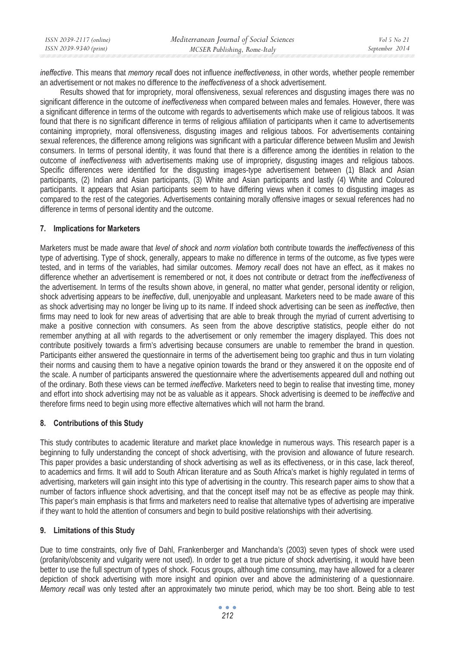| ISSN 2039-2117 (online) | Mediterranean Journal of Social Sciences | Vol 5 No 21    |
|-------------------------|------------------------------------------|----------------|
| ISSN 2039-9340 (print)  | MCSER Publishing, Rome-Italy             | September 2014 |

*ineffective*. This means that *memory recall* does not influence *ineffectiveness*, in other words, whether people remember an advertisement or not makes no difference to the *ineffectiveness* of a shock advertisement.

Results showed that for impropriety, moral offensiveness, sexual references and disgusting images there was no significant difference in the outcome of *ineffectiveness* when compared between males and females. However, there was a significant difference in terms of the outcome with regards to advertisements which make use of religious taboos. It was found that there is no significant difference in terms of religious affiliation of participants when it came to advertisements containing impropriety, moral offensiveness, disgusting images and religious taboos. For advertisements containing sexual references, the difference among religions was significant with a particular difference between Muslim and Jewish consumers. In terms of personal identity, it was found that there is a difference among the identities in relation to the outcome of *ineffectiveness* with advertisements making use of impropriety, disgusting images and religious taboos. Specific differences were identified for the disgusting images-type advertisement between (1) Black and Asian participants, (2) Indian and Asian participants, (3) White and Asian participants and lastly (4) White and Coloured participants. It appears that Asian participants seem to have differing views when it comes to disgusting images as compared to the rest of the categories. Advertisements containing morally offensive images or sexual references had no difference in terms of personal identity and the outcome.

### **7. Implications for Marketers**

Marketers must be made aware that *level of shock* and *norm violation* both contribute towards the *ineffectiveness* of this type of advertising. Type of shock, generally, appears to make no difference in terms of the outcome, as five types were tested, and in terms of the variables, had similar outcomes. *Memory recall* does not have an effect, as it makes no difference whether an advertisement is remembered or not, it does not contribute or detract from the *ineffectiveness* of the advertisement. In terms of the results shown above, in general, no matter what gender, personal identity or religion, shock advertising appears to be *ineffective*, dull, unenjoyable and unpleasant. Marketers need to be made aware of this as shock advertising may no longer be living up to its name. If indeed shock advertising can be seen as *ineffective*, then firms may need to look for new areas of advertising that are able to break through the myriad of current advertising to make a positive connection with consumers. As seen from the above descriptive statistics, people either do not remember anything at all with regards to the advertisement or only remember the imagery displayed. This does not contribute positively towards a firm's advertising because consumers are unable to remember the brand in question. Participants either answered the questionnaire in terms of the advertisement being too graphic and thus in turn violating their norms and causing them to have a negative opinion towards the brand or they answered it on the opposite end of the scale. A number of participants answered the questionnaire where the advertisements appeared dull and nothing out of the ordinary. Both these views can be termed *ineffective*. Marketers need to begin to realise that investing time, money and effort into shock advertising may not be as valuable as it appears. Shock advertising is deemed to be *ineffective* and therefore firms need to begin using more effective alternatives which will not harm the brand.

### **8. Contributions of this Study**

This study contributes to academic literature and market place knowledge in numerous ways. This research paper is a beginning to fully understanding the concept of shock advertising, with the provision and allowance of future research. This paper provides a basic understanding of shock advertising as well as its effectiveness, or in this case, lack thereof, to academics and firms. It will add to South African literature and as South Africa's market is highly regulated in terms of advertising, marketers will gain insight into this type of advertising in the country. This research paper aims to show that a number of factors influence shock advertising, and that the concept itself may not be as effective as people may think. This paper's main emphasis is that firms and marketers need to realise that alternative types of advertising are imperative if they want to hold the attention of consumers and begin to build positive relationships with their advertising.

### **9. Limitations of this Study**

Due to time constraints, only five of Dahl, Frankenberger and Manchanda's (2003) seven types of shock were used (profanity/obscenity and vulgarity were not used). In order to get a true picture of shock advertising, it would have been better to use the full spectrum of types of shock. Focus groups, although time consuming, may have allowed for a clearer depiction of shock advertising with more insight and opinion over and above the administering of a questionnaire. *Memory recall* was only tested after an approximately two minute period, which may be too short. Being able to test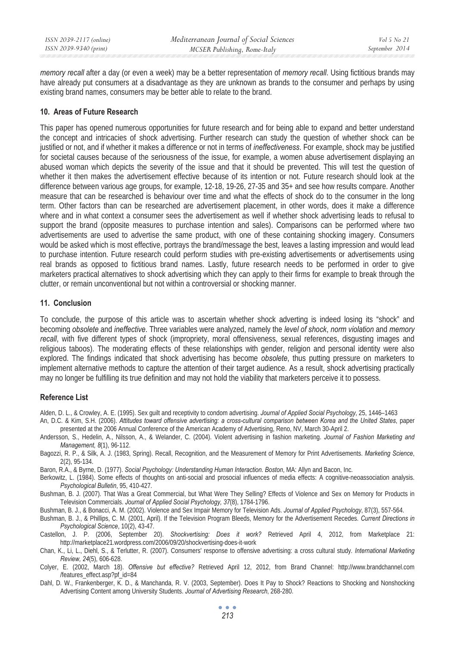*memory recall* after a day (or even a week) may be a better representation of *memory recall*. Using fictitious brands may have already put consumers at a disadvantage as they are unknown as brands to the consumer and perhaps by using existing brand names, consumers may be better able to relate to the brand.

### **10. Areas of Future Research**

This paper has opened numerous opportunities for future research and for being able to expand and better understand the concept and intricacies of shock advertising. Further research can study the question of whether shock can be justified or not, and if whether it makes a difference or not in terms of *ineffectiveness*. For example, shock may be justified for societal causes because of the seriousness of the issue, for example, a women abuse advertisement displaying an abused woman which depicts the severity of the issue and that it should be prevented. This will test the question of whether it then makes the advertisement effective because of its intention or not. Future research should look at the difference between various age groups, for example, 12-18, 19-26, 27-35 and 35+ and see how results compare. Another measure that can be researched is behaviour over time and what the effects of shock do to the consumer in the long term. Other factors than can be researched are advertisement placement, in other words, does it make a difference where and in what context a consumer sees the advertisement as well if whether shock advertising leads to refusal to support the brand (opposite measures to purchase intention and sales). Comparisons can be performed where two advertisements are used to advertise the same product, with one of these containing shocking imagery. Consumers would be asked which is most effective, portrays the brand/message the best, leaves a lasting impression and would lead to purchase intention. Future research could perform studies with pre-existing advertisements or advertisements using real brands as opposed to fictitious brand names. Lastly, future research needs to be performed in order to give marketers practical alternatives to shock advertising which they can apply to their firms for example to break through the clutter, or remain unconventional but not within a controversial or shocking manner.

### **11. Conclusion**

To conclude, the purpose of this article was to ascertain whether shock adverting is indeed losing its "shock" and becoming *obsolete* and *ineffective*. Three variables were analyzed, namely the *level of shock*, *norm violation* and *memory recall*, with five different types of shock (impropriety, moral offensiveness, sexual references, disgusting images and religious taboos). The moderating effects of these relationships with gender, religion and personal identity were also explored. The findings indicated that shock advertising has become *obsolete*, thus putting pressure on marketers to implement alternative methods to capture the attention of their target audience. As a result, shock advertising practically may no longer be fulfilling its true definition and may not hold the viability that marketers perceive it to possess.

# **Reference List**

Alden, D. L., & Crowley, A. E. (1995). Sex guilt and receptivity to condom advertising. *Journal of Applied Social Psychology*, 25, 1446–1463

- An, D.C. & Kim, S.H. (2006). *Attitudes toward offensive advertising: a cross-cultural comparison between Korea and the United States*, paper presented at the 2006 Annual Conference of the American Academy of Advertising, Reno, NV, March 30-April 2.
- Andersson, S., Hedelin, A., Nilsson, A., & Welander, C. (2004). Violent advertising in fashion marketing. *Journal of Fashion Marketing and Management, 8*(1), 96-112.
- Bagozzi, R. P., & Silk, A. J. (1983, Spring). Recall, Recognition, and the Measurement of Memory for Print Advertisements. *Marketing Science*, 2(2), 95-134.
- Baron, R.A., & Byrne, D. (1977). *Social Psychology: Understanding Human Interaction. Boston*, MA: Allyn and Bacon, Inc.
- Berkowitz, L. (1984). Some effects of thoughts on anti-social and prosocial influences of media effects: A cognitive-neoassociation analysis. *Psychological Bulletin*, 95, 410-427.
- Bushman, B. J. (2007). That Was a Great Commercial, but What Were They Selling? Effects of Violence and Sex on Memory for Products in Television Commercials. *Journal of Applied Social Psychology, 37*(8), 1784-1796.
- Bushman, B. J., & Bonacci, A. M. (2002). Violence and Sex Impair Memory for Television Ads. *Journal of Applied Psychology*, 87(3), 557-564.
- Bushman, B. J., & Phillips, C. M. (2001, April). If the Television Program Bleeds, Memory for the Advertisement Recedes. *Current Directions in Psychological Science*, 10(2), 43-47.
- Castellon, J. P. (2006, September 20). *Shockvertising: Does it work?* Retrieved April 4, 2012, from Marketplace 21: http://marketplace21.wordpress.com/2006/09/20/shockvertising-does-it-work
- Chan, K., Li, L., Diehl, S., & Terlutter, R. (2007). Consumers' response to offensive advertising: a cross cultural study. *International Marketing Review, 24*(5), 606-628.
- Colyer, E. (2002, March 18). *Offensive but effective?* Retrieved April 12, 2012, from Brand Channel: http://www.brandchannel.com /features\_effect.asp?pf\_id=84
- Dahl, D. W., Frankenberger, K. D., & Manchanda, R. V. (2003, September). Does It Pay to Shock? Reactions to Shocking and Nonshocking Advertising Content among University Students. *Journal of Advertising Research*, 268-280.